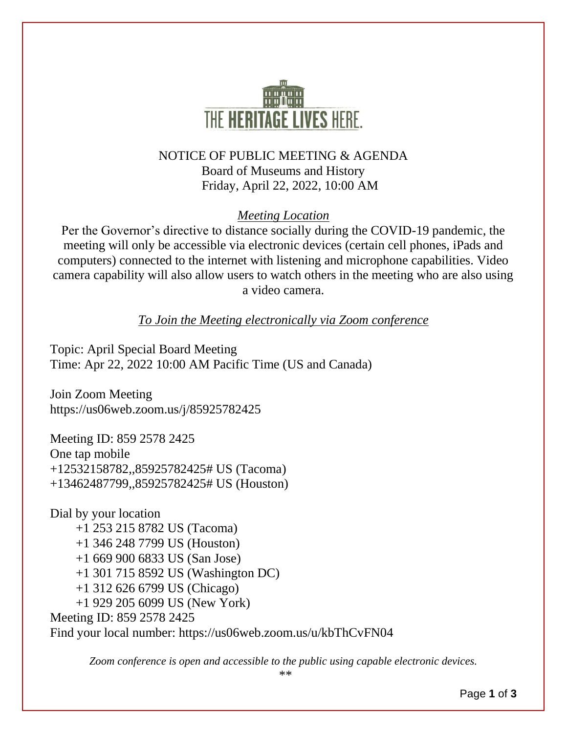

## NOTICE OF PUBLIC MEETING & AGENDA Board of Museums and History Friday, April 22, 2022, 10:00 AM

#### *Meeting Location*

Per the Governor's directive to distance socially during the COVID-19 pandemic, the meeting will only be accessible via electronic devices (certain cell phones, iPads and computers) connected to the internet with listening and microphone capabilities. Video camera capability will also allow users to watch others in the meeting who are also using a video camera.

*To Join the Meeting electronically via Zoom conference*

Topic: April Special Board Meeting Time: Apr 22, 2022 10:00 AM Pacific Time (US and Canada)

Join Zoom Meeting https://us06web.zoom.us/j/85925782425

Meeting ID: 859 2578 2425 One tap mobile +12532158782,,85925782425# US (Tacoma) +13462487799,,85925782425# US (Houston)

Dial by your location +1 253 215 8782 US (Tacoma) +1 346 248 7799 US (Houston) +1 669 900 6833 US (San Jose) +1 301 715 8592 US (Washington DC) +1 312 626 6799 US (Chicago) +1 929 205 6099 US (New York) Meeting ID: 859 2578 2425 Find your local number: https://us06web.zoom.us/u/kbThCvFN04

*Zoom conference is open and accessible to the public using capable electronic devices.*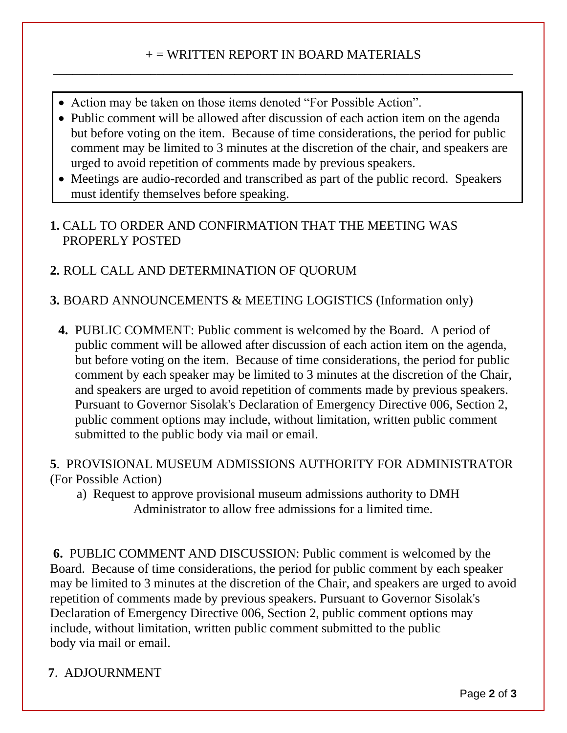## + = WRITTEN REPORT IN BOARD MATERIALS \_\_\_\_\_\_\_\_\_\_\_\_\_\_\_\_\_\_\_\_\_\_\_\_\_\_\_\_\_\_\_\_\_\_\_\_\_\_\_\_\_\_\_\_\_\_\_\_\_\_\_\_\_\_\_\_\_\_\_\_\_\_\_\_\_\_\_\_\_\_\_

- Action may be taken on those items denoted "For Possible Action".
- Public comment will be allowed after discussion of each action item on the agenda but before voting on the item. Because of time considerations, the period for public comment may be limited to 3 minutes at the discretion of the chair, and speakers are urged to avoid repetition of comments made by previous speakers.
- Meetings are audio-recorded and transcribed as part of the public record. Speakers must identify themselves before speaking.

## **1.** CALL TO ORDER AND CONFIRMATION THAT THE MEETING WAS PROPERLY POSTED

# **2.** ROLL CALL AND DETERMINATION OF QUORUM

## **3.** BOARD ANNOUNCEMENTS & MEETING LOGISTICS (Information only)

**4.** PUBLIC COMMENT: Public comment is welcomed by the Board. A period of public comment will be allowed after discussion of each action item on the agenda, but before voting on the item. Because of time considerations, the period for public comment by each speaker may be limited to 3 minutes at the discretion of the Chair, and speakers are urged to avoid repetition of comments made by previous speakers. Pursuant to Governor Sisolak's Declaration of Emergency Directive 006, Section 2, public comment options may include, without limitation, written public comment submitted to the public body via mail or email.

## **5**. PROVISIONAL MUSEUM ADMISSIONS AUTHORITY FOR ADMINISTRATOR (For Possible Action)

a) Request to approve provisional museum admissions authority to DMH Administrator to allow free admissions for a limited time.

**6.** PUBLIC COMMENT AND DISCUSSION: Public comment is welcomed by the Board. Because of time considerations, the period for public comment by each speaker may be limited to 3 minutes at the discretion of the Chair, and speakers are urged to avoid repetition of comments made by previous speakers. Pursuant to Governor Sisolak's Declaration of Emergency Directive 006, Section 2, public comment options may include, without limitation, written public comment submitted to the public body via mail or email.

# **7**. ADJOURNMENT